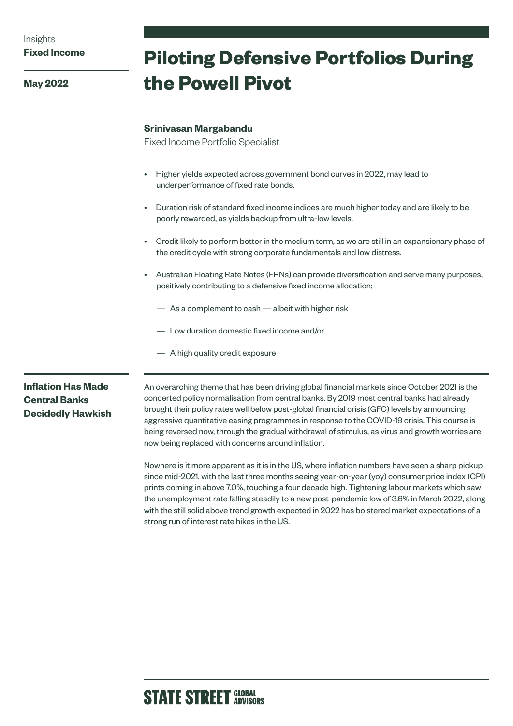**May 2022**

# **Piloting Defensive Portfolios During the Powell Pivot**

### **Srinivasan Margabandu**

Fixed Income Portfolio Specialist

- Higher yields expected across government bond curves in 2022, may lead to underperformance of fixed rate bonds.
- Duration risk of standard fixed income indices are much higher today and are likely to be poorly rewarded, as yields backup from ultra-low levels.
- Credit likely to perform better in the medium term, as we are still in an expansionary phase of the credit cycle with strong corporate fundamentals and low distress.
- Australian Floating Rate Notes (FRNs) can provide diversification and serve many purposes, positively contributing to a defensive fixed income allocation;
	- As a complement to cash albeit with higher risk
	- Low duration domestic fixed income and/or
	- A high quality credit exposure

# **Inflation Has Made Central Banks Decidedly Hawkish**

An overarching theme that has been driving global financial markets since October 2021 is the concerted policy normalisation from central banks. By 2019 most central banks had already brought their policy rates well below post-global financial crisis (GFC) levels by announcing aggressive quantitative easing programmes in response to the COVID-19 crisis. This course is being reversed now, through the gradual withdrawal of stimulus, as virus and growth worries are now being replaced with concerns around inflation.

Nowhere is it more apparent as it is in the US, where inflation numbers have seen a sharp pickup since mid-2021, with the last three months seeing year-on-year (yoy) consumer price index (CPI) prints coming in above 7.0%, touching a four decade high. Tightening labour markets which saw the unemployment rate falling steadily to a new post-pandemic low of 3.6% in March 2022, along with the still solid above trend growth expected in 2022 has bolstered market expectations of a strong run of interest rate hikes in the US.

# **STATE STREET GLOBAL**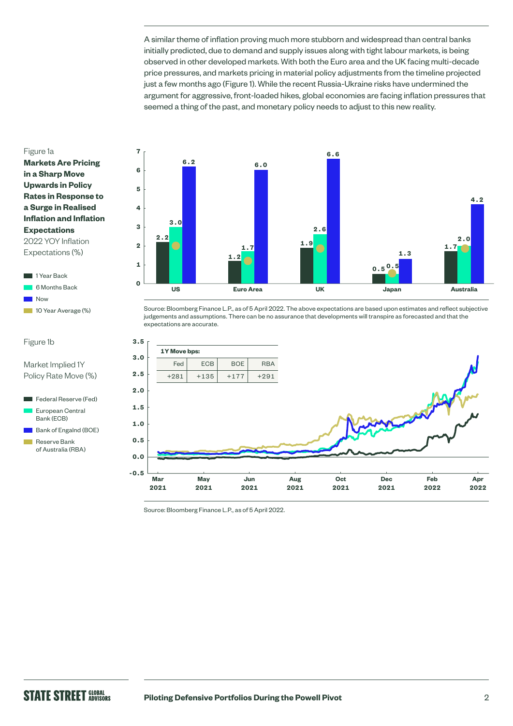A similar theme of inflation proving much more stubborn and widespread than central banks initially predicted, due to demand and supply issues along with tight labour markets, is being observed in other developed markets. With both the Euro area and the UK facing multi-decade price pressures, and markets pricing in material policy adjustments from the timeline projected just a few months ago (Figure 1). While the recent Russia-Ukraine risks have undermined the argument for aggressive, front-loaded hikes, global economies are facing inflation pressures that seemed a thing of the past, and monetary policy needs to adjust to this new reality.

#### Figure 1a

**Markets Are Pricing in a Sharp Move Upwards in Policy Rates in Response to a Surge in Realised Inflation and Inflation Expectations** 2022 YOY Inflation Expectations (%)

1 Year Back 6 Months Back **Now** 10 Year Average (%)

Market Implied 1Y Policy Rate Move (%)

Federal Reserve (Fed) European Central Bank (ECB) Bank of Engalnd (BOE) Reserve Bank of Australia (RBA)

Figure 1b

Ē



Source: Bloomberg Finance L.P., as of 5 April 2022. The above expectations are based upon estimates and reflect subjective judgements and assumptions. There can be no assurance that developments will transpire as forecasted and that the expectations are accurate.



Source: Bloomberg Finance L.P., as of 5 April 2022.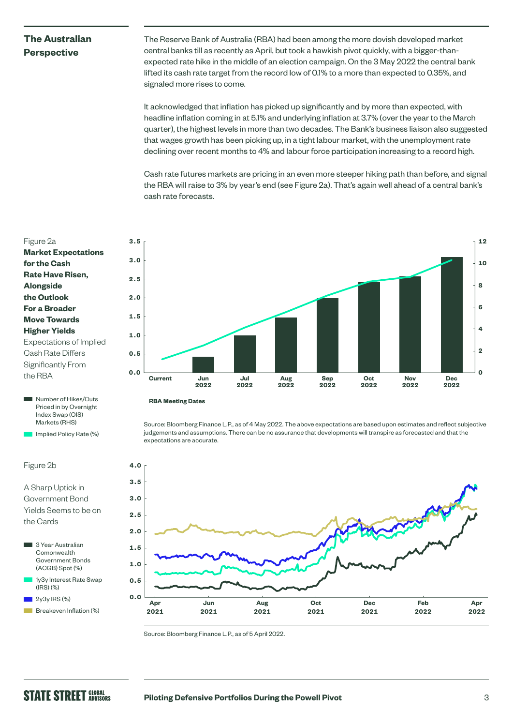## **The Australian Perspective**

The Reserve Bank of Australia (RBA) had been among the more dovish developed market central banks till as recently as April, but took a hawkish pivot quickly, with a bigger-thanexpected rate hike in the middle of an election campaign. On the 3 May 2022 the central bank lifted its cash rate target from the record low of 0.1% to a more than expected to 0.35%, and signaled more rises to come.

It acknowledged that inflation has picked up significantly and by more than expected, with headline inflation coming in at 5.1% and underlying inflation at 3.7% (over the year to the March quarter), the highest levels in more than two decades. The Bank's business liaison also suggested that wages growth has been picking up, in a tight labour market, with the unemployment rate declining over recent months to 4% and labour force participation increasing to a record high.

Cash rate futures markets are pricing in an even more steeper hiking path than before, and signal the RBA will raise to 3% by year's end (see Figure 2a). That's again well ahead of a central bank's cash rate forecasts.



Source: Bloomberg Finance L.P., as of 4 May 2022. The above expectations are based upon estimates and reflect subjective judgements and assumptions. There can be no assurance that developments will transpire as forecasted and that the expectations are accurate.



Source: Bloomberg Finance L.P., as of 5 April 2022.



**Number of Hikes/Cuts** Priced in by Overnight Index Swap (OIS) Markets (RHS)

Implied Policy Rate (%)

#### Figure 2b

## A Sharp Uptick in Government Bond Yields Seems to be on the Cards

- 3 Year Australian **Comonwealth** Government Bonds (ACGB) Spot (%) 1y3y Interest Rate Swap (IRS) (%)
- $2y3y$  IRS  $(\%)$
- Breakeven Inflation (%)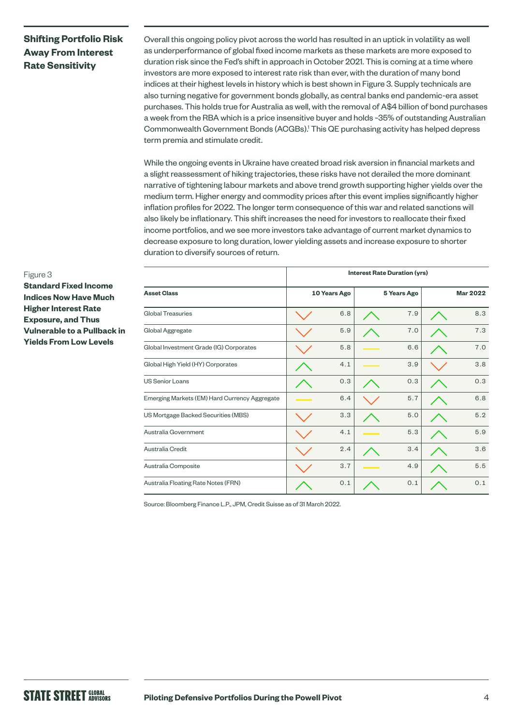# **Shifting Portfolio Risk Away From Interest Rate Sensitivity**

Overall this ongoing policy pivot across the world has resulted in an uptick in volatility as well as underperformance of global fixed income markets as these markets are more exposed to duration risk since the Fed's shift in approach in October 2021. This is coming at a time where investors are more exposed to interest rate risk than ever, with the duration of many bond indices at their highest levels in history which is best shown in Figure 3. Supply technicals are also turning negative for government bonds globally, as central banks end pandemic-era asset purchases. This holds true for Australia as well, with the removal of A\$4 billion of bond purchases a week from the RBA which is a price insensitive buyer and holds ~35% of outstanding Australian Commonwealth Government Bonds (ACGBs).1 This QE purchasing activity has helped depress term premia and stimulate credit.

While the ongoing events in Ukraine have created broad risk aversion in financial markets and a slight reassessment of hiking trajectories, these risks have not derailed the more dominant narrative of tightening labour markets and above trend growth supporting higher yields over the medium term. Higher energy and commodity prices after this event implies significantly higher inflation profiles for 2022. The longer term consequence of this war and related sanctions will also likely be inflationary. This shift increases the need for investors to reallocate their fixed income portfolios, and we see more investors take advantage of current market dynamics to decrease exposure to long duration, lower yielding assets and increase exposure to shorter duration to diversify sources of return.

|                                               | <b>Interest Rate Duration (yrs)</b> |     |                    |     |                 |     |  |
|-----------------------------------------------|-------------------------------------|-----|--------------------|-----|-----------------|-----|--|
| <b>Asset Class</b>                            | 10 Years Ago                        |     | <b>5 Years Ago</b> |     | <b>Mar 2022</b> |     |  |
| Global Treasuries                             |                                     | 6.8 |                    | 7.9 |                 | 8.3 |  |
| Global Aggregate                              |                                     | 5.9 |                    | 7.0 |                 | 7.3 |  |
| Global Investment Grade (IG) Corporates       |                                     | 5.8 |                    | 6.6 |                 | 7.0 |  |
| Global High Yield (HY) Corporates             |                                     | 4.1 |                    | 3.9 |                 | 3.8 |  |
| <b>US Senior Loans</b>                        |                                     | 0.3 |                    | 0.3 |                 | 0.3 |  |
| Emerging Markets (EM) Hard Currency Aggregate |                                     | 6.4 |                    | 5.7 |                 | 6.8 |  |
| US Mortgage Backed Securities (MBS)           |                                     | 3.3 |                    | 5.0 |                 | 5.2 |  |
| Australia Government                          |                                     | 4.1 |                    | 5.3 |                 | 5.9 |  |
| Australia Credit                              |                                     | 2.4 |                    | 3.4 |                 | 3.6 |  |
| Australia Composite                           |                                     | 3.7 |                    | 4.9 |                 | 5.5 |  |
| Australia Floating Rate Notes (FRN)           |                                     | 0.1 |                    | 0.1 |                 | 0.1 |  |

Source: Bloomberg Finance L.P., JPM, Credit Suisse as of 31 March 2022.

# **Standard Fixed Income Indices Now Have Much**

Figure 3

**Higher Interest Rate Exposure, and Thus Vulnerable to a Pullback in Yields From Low Levels**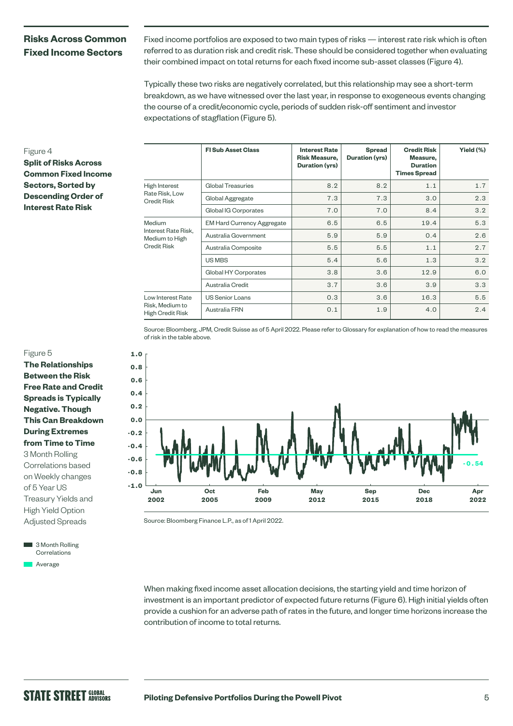## **Risks Across Common Fixed Income Sectors**

Fixed income portfolios are exposed to two main types of risks — interest rate risk which is often referred to as duration risk and credit risk. These should be considered together when evaluating their combined impact on total returns for each fixed income sub-asset classes (Figure 4).

Typically these two risks are negatively correlated, but this relationship may see a short-term breakdown, as we have witnessed over the last year, in response to exogeneous events changing the course of a credit/economic cycle, periods of sudden risk-off sentiment and investor expectations of stagflation (Figure 5).

#### Figure 4

**Split of Risks Across Common Fixed Income Sectors, Sorted by Descending Order of Interest Rate Risk** 

|                                                                       | <b>FI Sub Asset Class</b>         | <b>Interest Rate</b><br><b>Risk Measure,</b><br>Duration (yrs) | <b>Spread</b><br>Duration (yrs) | <b>Credit Risk</b><br>Measure,<br><b>Duration</b><br><b>Times Spread</b> | Yield (%) |
|-----------------------------------------------------------------------|-----------------------------------|----------------------------------------------------------------|---------------------------------|--------------------------------------------------------------------------|-----------|
| High Interest<br>Rate Risk, Low<br><b>Credit Risk</b>                 | <b>Global Treasuries</b>          | 8.2                                                            | 8.2                             | 1.1                                                                      | 1.7       |
|                                                                       | Global Aggregate                  | 7.3                                                            | 7.3                             | 3.0                                                                      | 2.3       |
|                                                                       | Global IG Corporates              | 7.0                                                            | 7.0                             | 8.4                                                                      | 3.2       |
| Medium<br>Interest Rate Risk.<br>Medium to High<br><b>Credit Risk</b> | <b>EM Hard Currency Aggregate</b> | 6.5                                                            | 6.5                             | 19.4                                                                     | 5.3       |
|                                                                       | Australia Government              | 5.9                                                            | 5.9                             | 0.4                                                                      | 2.6       |
|                                                                       | Australia Composite               | 5.5                                                            | 5.5                             | 1.1                                                                      | 2.7       |
|                                                                       | US MBS                            | 5.4                                                            | 5.6                             | 1.3                                                                      | 3.2       |
|                                                                       | Global HY Corporates              | 3.8                                                            | 3.6                             | 12.9                                                                     | 6.0       |
|                                                                       | Australia Credit                  | 3.7                                                            | 3.6                             | 3.9                                                                      | 3.3       |
| Low Interest Rate<br>Risk, Medium to<br>High Credit Risk              | <b>US Senior Loans</b>            | 0.3                                                            | 3.6                             | 16.3                                                                     | 5.5       |
|                                                                       | Australia FRN                     | 0.1                                                            | 1.9                             | 4.0                                                                      | 2.4       |

Source: Bloomberg, JPM, Credit Suisse as of 5 April 2022. Please refer to Glossary for explanation of how to read the measures of risk in the table above.



**The Relationships Between the Risk Free Rate and Credit Spreads is Typically Negative. Though This Can Breakdown During Extremes from Time to Time** 3 Month Rolling Correlations based on Weekly changes of 5 Year US Treasury Yields and High Yield Option Adjusted Spreads

3 Month Rolling Correlations **Average** 



Source: Bloomberg Finance L.P., as of 1 April 2022.

When making fixed income asset allocation decisions, the starting yield and time horizon of investment is an important predictor of expected future returns (Figure 6). High initial yields often provide a cushion for an adverse path of rates in the future, and longer time horizons increase the contribution of income to total returns.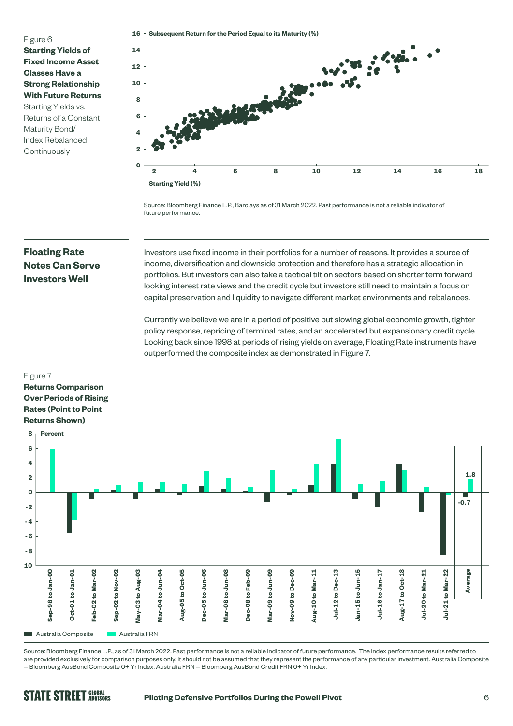Figure 6

**Starting Yields of Fixed Income Asset Classes Have a Strong Relationship With Future Returns**  Starting Yields vs. Returns of a Constant Maturity Bond/ Index Rebalanced **Continuously** 



Source: Bloomberg Finance L.P., Barclays as of 31 March 2022. Past performance is not a reliable indicator of future performance.

# **Floating Rate Notes Can Serve Investors Well**

Figure 7

Investors use fixed income in their portfolios for a number of reasons. It provides a source of income, diversification and downside protection and therefore has a strategic allocation in portfolios. But investors can also take a tactical tilt on sectors based on shorter term forward looking interest rate views and the credit cycle but investors still need to maintain a focus on capital preservation and liquidity to navigate different market environments and rebalances.

Currently we believe we are in a period of positive but slowing global economic growth, tighter policy response, repricing of terminal rates, and an accelerated but expansionary credit cycle. Looking back since 1998 at periods of rising yields on average, Floating Rate instruments have outperformed the composite index as demonstrated in Figure 7.

#### **Returns Comparison Over Periods of Rising Rates (Point to Point Returns Shown) 8 Percent 6 4 1.8 2 0 -0.7 -2 -4 -6 -8 -10 Average** Sep-98 to Jan-00 **Sep-98 to Jan-00 Oct-01 to Jan-01 Feb-02 to Mar-02** Sep-02 to Nov-02 **Sep-02 to Nov-02 May-03 to Aug-03** Mar-04 to Jun-04 **Mar-04 to Jun-04** Aug-05 to Oct-05 **Aug-05 to Oct-05 Dec-05 to Jun-06** Mar-08 to Jun-08 **Mar-08 to Jun-08 Dec-08 to Feb-09 Mar-09 to Jun-09 Nov-09 to Dec-09 Aug-10 to Mar-11** Jul-12 to Dec-13 **Jul-12 to Dec-13 Jan-15 to Jun-15 Jul-16 to Jan-17** Aug-17 to Oct-18 **Aug-17 to Oct-18 Jul-20 to Mar-21** Jul-21 to Mar-22 **Jul-21 to Mar-22** Feb-02 to Mar-02 May-03 to Aug-03 Dec-05 to Jun-06 Dec-08 to Feb-09 Mar-09 to Jun-09 Nov-09 to Dec-09 Aug-10 to Mar-11 Jan-15 to Jun-15 Jul-16 to Jan-17 Jul-20 to Mar-21 **Oct-01 to Jan-01 Australia Composite** Australia FRN

Source: Bloomberg Finance L.P., as of 31 March 2022. Past performance is not a reliable indicator of future performance. The index performance results referred to are provided exclusively for comparison purposes only. It should not be assumed that they represent the performance of any particular investment. Australia Composite = Bloomberg AusBond Composite 0+ Yr Index. Australia FRN = Bloomberg AusBond Credit FRN 0+ Yr Index.

# **STATE STREET GLOBAL**

#### **Piloting Defensive Portfolios During the Powell Pivot** 6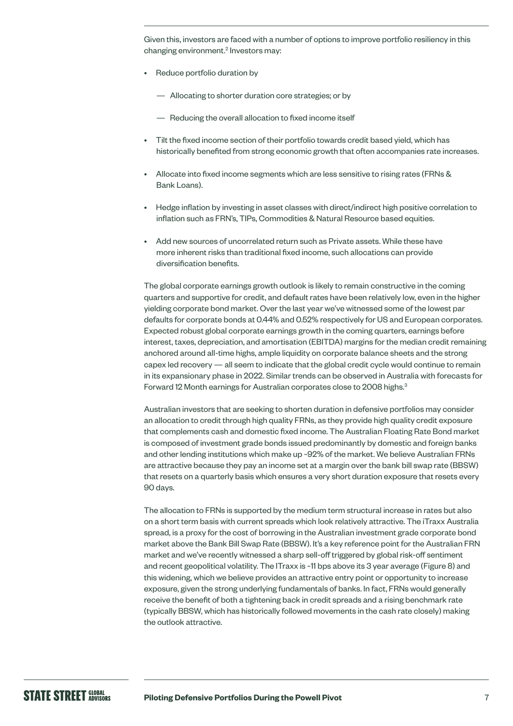Given this, investors are faced with a number of options to improve portfolio resiliency in this changing environment.<sup>2</sup> Investors may:

- Reduce portfolio duration by
	- Allocating to shorter duration core strategies; or by
	- Reducing the overall allocation to fixed income itself
- Tilt the fixed income section of their portfolio towards credit based yield, which has historically benefited from strong economic growth that often accompanies rate increases.
- Allocate into fixed income segments which are less sensitive to rising rates (FRNs & Bank Loans).
- Hedge inflation by investing in asset classes with direct/indirect high positive correlation to inflation such as FRN's, TIPs, Commodities & Natural Resource based equities.
- Add new sources of uncorrelated return such as Private assets. While these have more inherent risks than traditional fixed income, such allocations can provide diversification benefits.

The global corporate earnings growth outlook is likely to remain constructive in the coming quarters and supportive for credit, and default rates have been relatively low, even in the higher yielding corporate bond market. Over the last year we've witnessed some of the lowest par defaults for corporate bonds at 0.44% and 0.52% respectively for US and European corporates. Expected robust global corporate earnings growth in the coming quarters, earnings before interest, taxes, depreciation, and amortisation (EBITDA) margins for the median credit remaining anchored around all-time highs, ample liquidity on corporate balance sheets and the strong capex led recovery — all seem to indicate that the global credit cycle would continue to remain in its expansionary phase in 2022. Similar trends can be observed in Australia with forecasts for Forward 12 Month earnings for Australian corporates close to 2008 highs.<sup>3</sup>

Australian investors that are seeking to shorten duration in defensive portfolios may consider an allocation to credit through high quality FRNs, as they provide high quality credit exposure that complements cash and domestic fixed income. The Australian Floating Rate Bond market is composed of investment grade bonds issued predominantly by domestic and foreign banks and other lending institutions which make up ~92% of the market. We believe Australian FRNs are attractive because they pay an income set at a margin over the bank bill swap rate (BBSW) that resets on a quarterly basis which ensures a very short duration exposure that resets every 90 days.

The allocation to FRNs is supported by the medium term structural increase in rates but also on a short term basis with current spreads which look relatively attractive. The iTraxx Australia spread, is a proxy for the cost of borrowing in the Australian investment grade corporate bond market above the Bank Bill Swap Rate (BBSW). It's a key reference point for the Australian FRN market and we've recently witnessed a sharp sell-off triggered by global risk-off sentiment and recent geopolitical volatility. The ITraxx is ~11 bps above its 3 year average (Figure 8) and this widening, which we believe provides an attractive entry point or opportunity to increase exposure, given the strong underlying fundamentals of banks. In fact, FRNs would generally receive the benefit of both a tightening back in credit spreads and a rising benchmark rate (typically BBSW, which has historically followed movements in the cash rate closely) making the outlook attractive.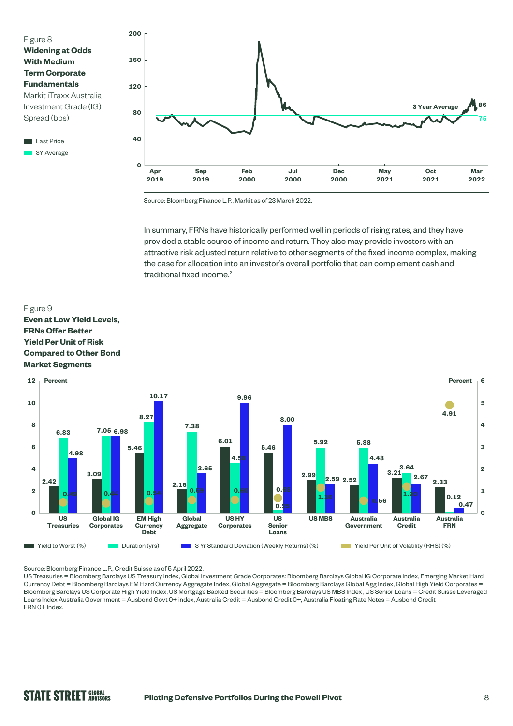



Source: Bloomberg Finance L.P., Markit as of 23 March 2022.

In summary, FRNs have historically performed well in periods of rising rates, and they have provided a stable source of income and return. They also may provide investors with an attractive risk adjusted return relative to other segments of the fixed income complex, making the case for allocation into an investor's overall portfolio that can complement cash and traditional fixed income.<sup>2</sup>

#### Figure 9

#### **Even at Low Yield Levels, FRNs Offer Better Yield Per Unit of Risk Compared to Other Bond Market Segments**



Source: Bloomberg Finance L.P., Credit Suisse as of 5 April 2022.

US Treasuries = Bloomberg Barclays US Treasury Index, Global Investment Grade Corporates: Bloomberg Barclays Global IG Corporate Index, Emerging Market Hard Currency Debt = Bloomberg Barclays EM Hard Currency Aggregate Index, Global Aggregate = Bloomberg Barclays Global Agg Index, Global High Yield Corporates = Bloomberg Barclays US Corporate High Yield Index, US Mortgage Backed Securities = Bloomberg Barclays US MBS Index , US Senior Loans = Credit Suisse Leveraged Loans Index Australia Government = Ausbond Govt 0+ index, Australia Credit = Ausbond Credit 0+, Australia Floating Rate Notes = Ausbond Credit FRN 0+ Index.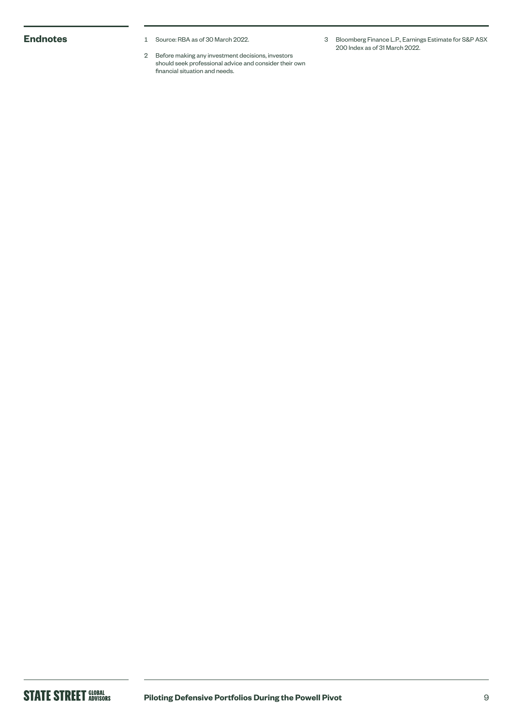- **Endnotes** 1 Source: RBA as of 30 March 2022.
	- 2 Before making any investment decisions, investors should seek professional advice and consider their own financial situation and needs.
- 3 Bloomberg Finance L.P., Earnings Estimate for S&P ASX 200 Index as of 31 March 2022.